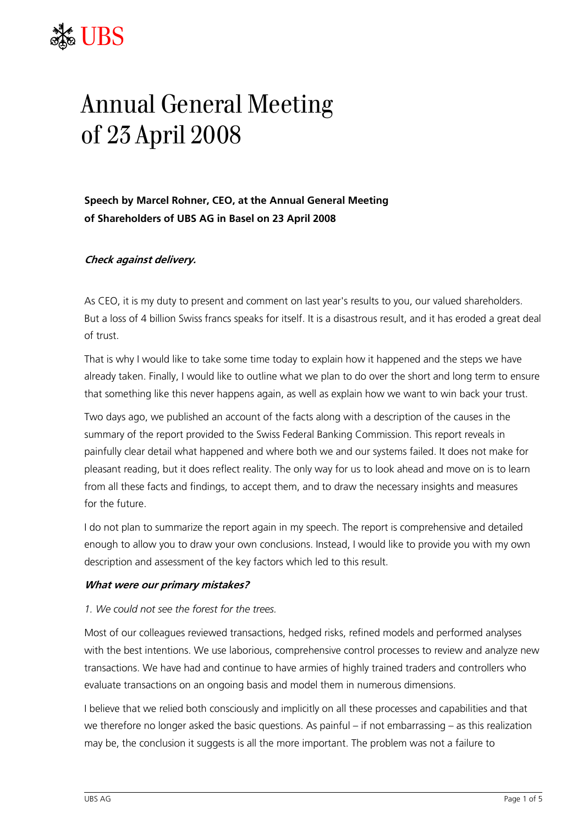# TRS

# Annual General Meeting of 23 April 2008

**Speech by Marcel Rohner, CEO, at the Annual General Meeting of Shareholders of UBS AG in Basel on 23 April 2008** 

# **Check against delivery.**

As CEO, it is my duty to present and comment on last year's results to you, our valued shareholders. But a loss of 4 billion Swiss francs speaks for itself. It is a disastrous result, and it has eroded a great deal of trust.

That is why I would like to take some time today to explain how it happened and the steps we have already taken. Finally, I would like to outline what we plan to do over the short and long term to ensure that something like this never happens again, as well as explain how we want to win back your trust.

Two days ago, we published an account of the facts along with a description of the causes in the summary of the report provided to the Swiss Federal Banking Commission. This report reveals in painfully clear detail what happened and where both we and our systems failed. It does not make for pleasant reading, but it does reflect reality. The only way for us to look ahead and move on is to learn from all these facts and findings, to accept them, and to draw the necessary insights and measures for the future.

I do not plan to summarize the report again in my speech. The report is comprehensive and detailed enough to allow you to draw your own conclusions. Instead, I would like to provide you with my own description and assessment of the key factors which led to this result.

#### **What were our primary mistakes?**

#### *1. We could not see the forest for the trees.*

Most of our colleagues reviewed transactions, hedged risks, refined models and performed analyses with the best intentions. We use laborious, comprehensive control processes to review and analyze new transactions. We have had and continue to have armies of highly trained traders and controllers who evaluate transactions on an ongoing basis and model them in numerous dimensions.

I believe that we relied both consciously and implicitly on all these processes and capabilities and that we therefore no longer asked the basic questions. As painful – if not embarrassing – as this realization may be, the conclusion it suggests is all the more important. The problem was not a failure to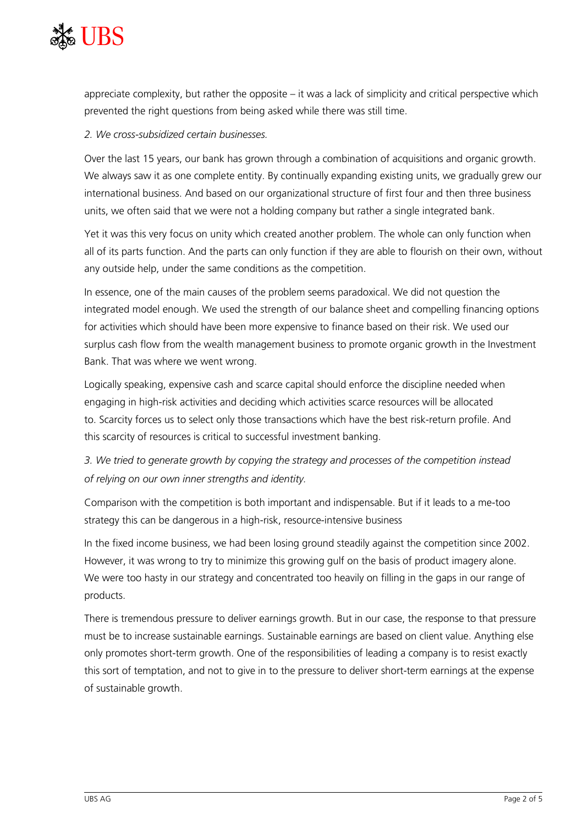

appreciate complexity, but rather the opposite – it was a lack of simplicity and critical perspective which prevented the right questions from being asked while there was still time.

# *2. We cross-subsidized certain businesses.*

Over the last 15 years, our bank has grown through a combination of acquisitions and organic growth. We always saw it as one complete entity. By continually expanding existing units, we gradually grew our international business. And based on our organizational structure of first four and then three business units, we often said that we were not a holding company but rather a single integrated bank.

Yet it was this very focus on unity which created another problem. The whole can only function when all of its parts function. And the parts can only function if they are able to flourish on their own, without any outside help, under the same conditions as the competition.

In essence, one of the main causes of the problem seems paradoxical. We did not question the integrated model enough. We used the strength of our balance sheet and compelling financing options for activities which should have been more expensive to finance based on their risk. We used our surplus cash flow from the wealth management business to promote organic growth in the Investment Bank. That was where we went wrong.

Logically speaking, expensive cash and scarce capital should enforce the discipline needed when engaging in high-risk activities and deciding which activities scarce resources will be allocated to. Scarcity forces us to select only those transactions which have the best risk-return profile. And this scarcity of resources is critical to successful investment banking.

# *3. We tried to generate growth by copying the strategy and processes of the competition instead of relying on our own inner strengths and identity.*

Comparison with the competition is both important and indispensable. But if it leads to a me-too strategy this can be dangerous in a high-risk, resource-intensive business

In the fixed income business, we had been losing ground steadily against the competition since 2002. However, it was wrong to try to minimize this growing gulf on the basis of product imagery alone. We were too hasty in our strategy and concentrated too heavily on filling in the gaps in our range of products.

There is tremendous pressure to deliver earnings growth. But in our case, the response to that pressure must be to increase sustainable earnings. Sustainable earnings are based on client value. Anything else only promotes short-term growth. One of the responsibilities of leading a company is to resist exactly this sort of temptation, and not to give in to the pressure to deliver short-term earnings at the expense of sustainable growth.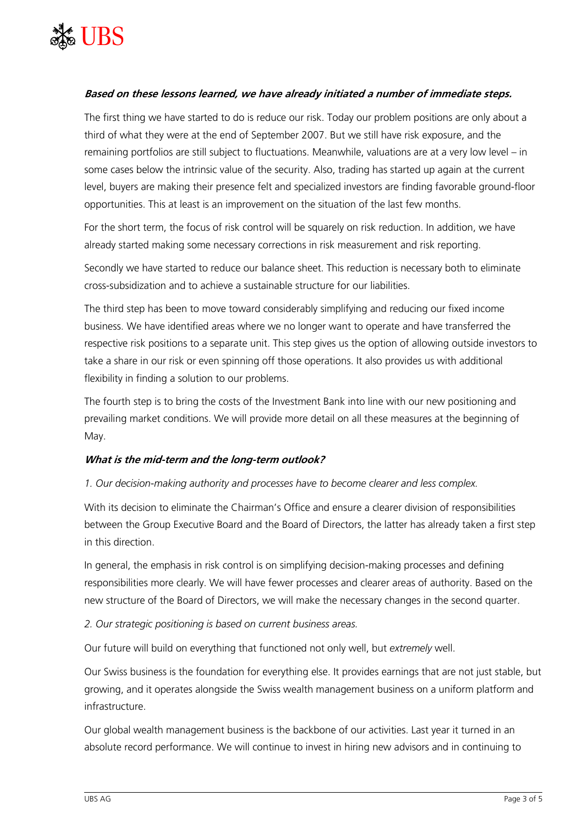

# **Based on these lessons learned, we have already initiated a number of immediate steps.**

The first thing we have started to do is reduce our risk. Today our problem positions are only about a third of what they were at the end of September 2007. But we still have risk exposure, and the remaining portfolios are still subject to fluctuations. Meanwhile, valuations are at a very low level – in some cases below the intrinsic value of the security. Also, trading has started up again at the current level, buyers are making their presence felt and specialized investors are finding favorable ground-floor opportunities. This at least is an improvement on the situation of the last few months.

For the short term, the focus of risk control will be squarely on risk reduction. In addition, we have already started making some necessary corrections in risk measurement and risk reporting.

Secondly we have started to reduce our balance sheet. This reduction is necessary both to eliminate cross-subsidization and to achieve a sustainable structure for our liabilities.

The third step has been to move toward considerably simplifying and reducing our fixed income business. We have identified areas where we no longer want to operate and have transferred the respective risk positions to a separate unit. This step gives us the option of allowing outside investors to take a share in our risk or even spinning off those operations. It also provides us with additional flexibility in finding a solution to our problems.

The fourth step is to bring the costs of the Investment Bank into line with our new positioning and prevailing market conditions. We will provide more detail on all these measures at the beginning of May.

#### **What is the mid-term and the long-term outlook?**

#### *1. Our decision-making authority and processes have to become clearer and less complex.*

With its decision to eliminate the Chairman's Office and ensure a clearer division of responsibilities between the Group Executive Board and the Board of Directors, the latter has already taken a first step in this direction.

In general, the emphasis in risk control is on simplifying decision-making processes and defining responsibilities more clearly. We will have fewer processes and clearer areas of authority. Based on the new structure of the Board of Directors, we will make the necessary changes in the second quarter.

#### *2. Our strategic positioning is based on current business areas.*

Our future will build on everything that functioned not only well, but *extremely* well.

Our Swiss business is the foundation for everything else. It provides earnings that are not just stable, but growing, and it operates alongside the Swiss wealth management business on a uniform platform and infrastructure.

Our global wealth management business is the backbone of our activities. Last year it turned in an absolute record performance. We will continue to invest in hiring new advisors and in continuing to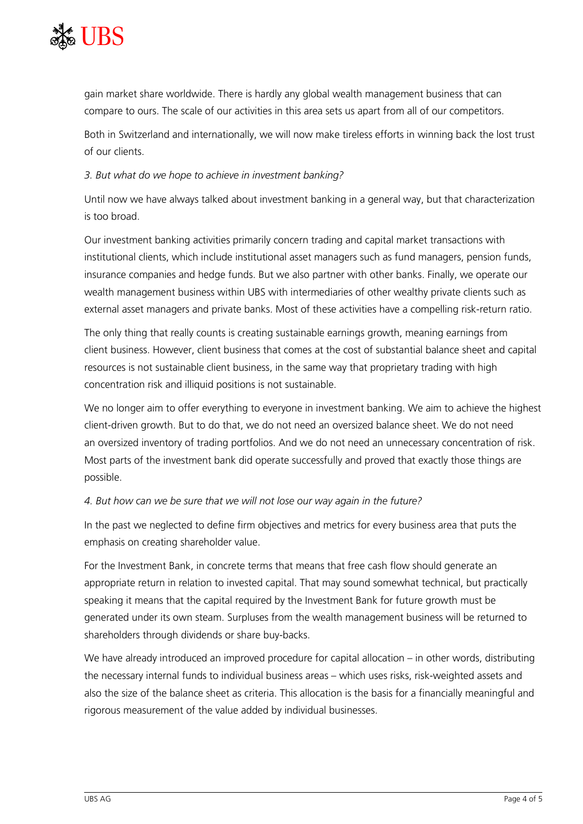

gain market share worldwide. There is hardly any global wealth management business that can compare to ours. The scale of our activities in this area sets us apart from all of our competitors.

Both in Switzerland and internationally, we will now make tireless efforts in winning back the lost trust of our clients.

## *3. But what do we hope to achieve in investment banking?*

Until now we have always talked about investment banking in a general way, but that characterization is too broad.

Our investment banking activities primarily concern trading and capital market transactions with institutional clients, which include institutional asset managers such as fund managers, pension funds, insurance companies and hedge funds. But we also partner with other banks. Finally, we operate our wealth management business within UBS with intermediaries of other wealthy private clients such as external asset managers and private banks. Most of these activities have a compelling risk-return ratio.

The only thing that really counts is creating sustainable earnings growth, meaning earnings from client business. However, client business that comes at the cost of substantial balance sheet and capital resources is not sustainable client business, in the same way that proprietary trading with high concentration risk and illiquid positions is not sustainable.

We no longer aim to offer everything to everyone in investment banking. We aim to achieve the highest client-driven growth. But to do that, we do not need an oversized balance sheet. We do not need an oversized inventory of trading portfolios. And we do not need an unnecessary concentration of risk. Most parts of the investment bank did operate successfully and proved that exactly those things are possible.

# *4. But how can we be sure that we will not lose our way again in the future?*

In the past we neglected to define firm objectives and metrics for every business area that puts the emphasis on creating shareholder value.

For the Investment Bank, in concrete terms that means that free cash flow should generate an appropriate return in relation to invested capital. That may sound somewhat technical, but practically speaking it means that the capital required by the Investment Bank for future growth must be generated under its own steam. Surpluses from the wealth management business will be returned to shareholders through dividends or share buy-backs.

We have already introduced an improved procedure for capital allocation – in other words, distributing the necessary internal funds to individual business areas – which uses risks, risk-weighted assets and also the size of the balance sheet as criteria. This allocation is the basis for a financially meaningful and rigorous measurement of the value added by individual businesses.